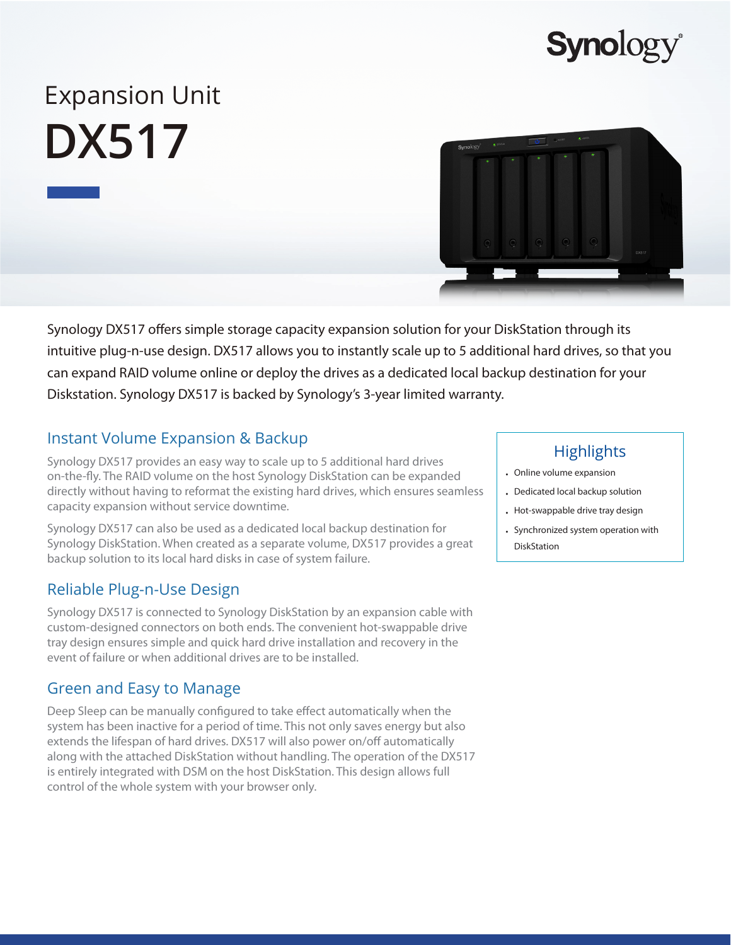## **Synolog**

# Expansion Unit **DX517**

Synology DX517 offers simple storage capacity expansion solution for your DiskStation through its intuitive plug-n-use design. DX517 allows you to instantly scale up to 5 additional hard drives, so that you can expand RAID volume online or deploy the drives as a dedicated local backup destination for your Diskstation. Synology DX517 is backed by Synology's 3-year limited warranty.

## Instant Volume Expansion & Backup

Synology DX517 provides an easy way to scale up to 5 additional hard drives on-the-fly. The RAID volume on the host Synology DiskStation can be expanded directly without having to reformat the existing hard drives, which ensures seamless capacity expansion without service downtime.

Synology DX517 can also be used as a dedicated local backup destination for Synology DiskStation. When created as a separate volume, DX517 provides a great backup solution to its local hard disks in case of system failure.

## Reliable Plug-n-Use Design

Synology DX517 is connected to Synology DiskStation by an expansion cable with custom-designed connectors on both ends. The convenient hot-swappable drive tray design ensures simple and quick hard drive installation and recovery in the event of failure or when additional drives are to be installed.

## Green and Easy to Manage

Deep Sleep can be manually configured to take effect automatically when the system has been inactive for a period of time. This not only saves energy but also extends the lifespan of hard drives. DX517 will also power on/off automatically along with the attached DiskStation without handling. The operation of the DX517 is entirely integrated with DSM on the host DiskStation. This design allows full control of the whole system with your browser only.

## **Highlights**

- Online volume expansion
- Dedicated local backup solution
- Hot-swappable drive tray design
- Synchronized system operation with **DiskStation**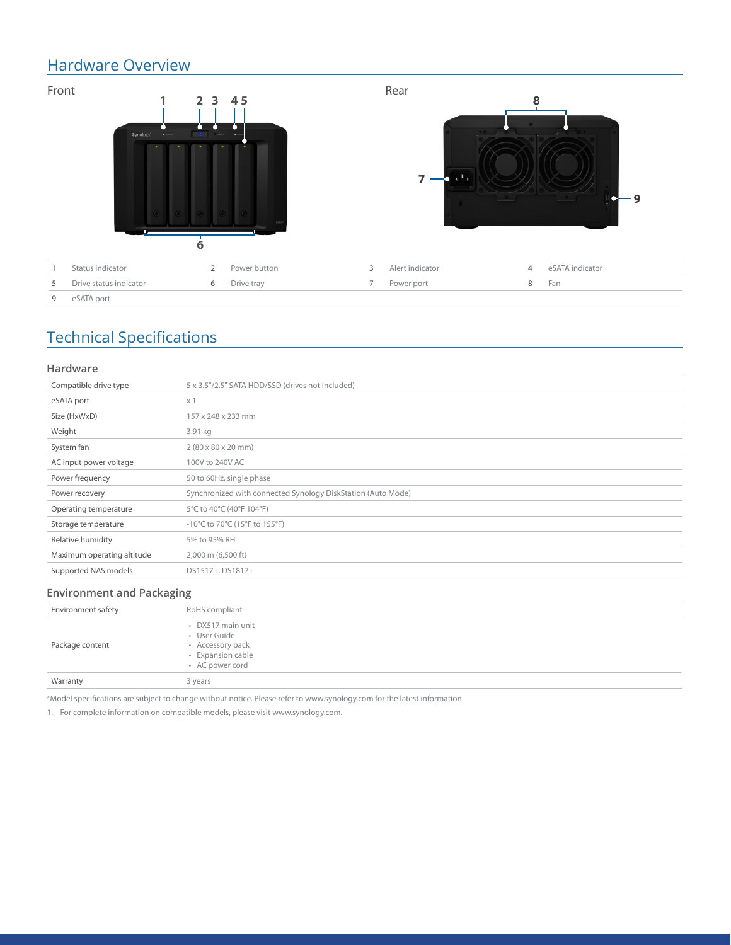### Hardware Overview



## Technical Specifications

#### **Hardware**

| Compatible drive type      | 5 x 3.5"/2.5" SATA HDD/SSD (drives not included)             |
|----------------------------|--------------------------------------------------------------|
| eSATA port                 | $\times$ 1                                                   |
| Size (HxWxD)               | 157 x 248 x 233 mm                                           |
| Weight                     | 3.91 kg                                                      |
| System fan                 | $2(80 \times 80 \times 20 \text{ mm})$                       |
| AC input power voltage     | 100V to 240V AC                                              |
| Power frequency            | 50 to 60Hz, single phase                                     |
| Power recovery             | Synchronized with connected Synology DiskStation (Auto Mode) |
| Operating temperature      | 5°C to 40°C (40°F 104°F)                                     |
| Storage temperature        | -10°C to 70°C (15°F to 155°F)                                |
| Relative humidity          | 5% to 95% RH                                                 |
| Maximum operating altitude | 2,000 m (6,500 ft)                                           |
| Supported NAS models       | DS1517+, DS1817+                                             |
|                            |                                                              |

#### **Environment and Packaging**

| Environment safety | RoHS compliant                                                                                |
|--------------------|-----------------------------------------------------------------------------------------------|
| Package content    | • DX517 main unit<br>· User Guide<br>• Accessory pack<br>· Expansion cable<br>• AC power cord |
| Warranty           | 3 years                                                                                       |

\*Model specifications are subject to change without notice. Please refer to www.synology.com for the latest information.

1. For complete information on compatible models, please visit www.synology.com.